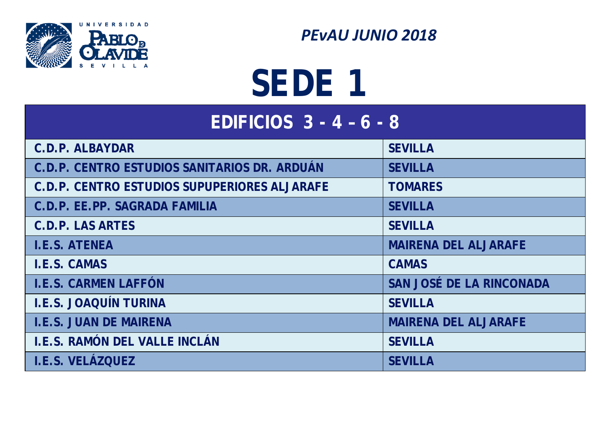### **EDIFICIOS 3 - 4 – 6 - 8**

| C.D.P. ALBAYDAR                              | <b>SEVILLA</b>     |
|----------------------------------------------|--------------------|
| C.D.P. CENTRO ESTUDIOS SANITARIOS DR. ARDUÁN | <b>SEVILLA</b>     |
| C.D.P. CENTRO ESTUDIOS SUPUPERIORES ALJARAFE | <b>TOMARES</b>     |
| C.D.P. EE.PP. SAGRADA FAMILIA                | <b>SEVILLA</b>     |
| <b>C.D.P. LAS ARTES</b>                      | <b>SEVILLA</b>     |
| <b>I.E.S. ATENEA</b>                         | <b>MAIRENA DE</b>  |
| I.E.S. CAMAS                                 | <b>CAMAS</b>       |
| <b>I.E.S. CARMEN LAFFÓN</b>                  | <b>SAN JOSÉ DE</b> |
| <b>I.E.S. JOAQUÍN TURINA</b>                 | <b>SEVILLA</b>     |
| <b>I.E.S. JUAN DE MAIRENA</b>                | <b>MAIRENA DE</b>  |
| <b>I.E.S. RAMÓN DEL VALLE INCLÁN</b>         | <b>SEVILLA</b>     |
| I.E.S. VELÁZOUEZ                             | <b>SEVILLA</b>     |
|                                              |                    |

# **ALJARAFE E. LA RINCONADA E.ALJARAFE**



 *PEvAU JUNIO 2018*

## *SEDE 1*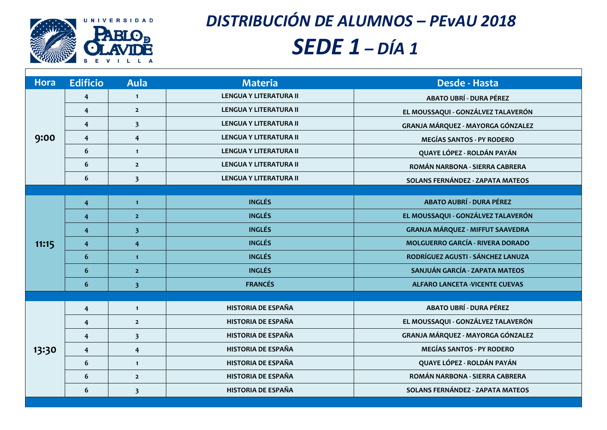| <b>Hora</b> | <b>Edificio</b> | <b>Aula</b>             | <b>Materia</b>                | <b>Desde - Hasta</b>                    |
|-------------|-----------------|-------------------------|-------------------------------|-----------------------------------------|
| 9:00        | $\overline{4}$  | $\mathbf{1}$            | <b>LENGUA Y LITERATURA II</b> | <b>ABATO UBRÍ - DURA PÉREZ</b>          |
|             | $\overline{4}$  | $\overline{2}$          | <b>LENGUA Y LITERATURA II</b> | EL MOUSSAQUI - GONZÁLVEZ TALAVERÓN      |
|             | $\overline{4}$  | $\overline{\mathbf{3}}$ | <b>LENGUA Y LITERATURA II</b> | GRANJA MÁRQUEZ - MAYORGA GÓNZALEZ       |
|             | $\overline{4}$  | $\overline{4}$          | <b>LENGUA Y LITERATURA II</b> | <b>MEGÍAS SANTOS - PY RODERO</b>        |
|             | 6               | $\mathbf{1}$            | <b>LENGUA Y LITERATURA II</b> | QUAYE LÓPEZ - ROLDÁN PAYÁN              |
|             | 6               | $\overline{2}$          | <b>LENGUA Y LITERATURA II</b> | ROMÁN NARBONA - SIERRA CABRERA          |
|             | 6               | $\overline{\mathbf{3}}$ | <b>LENGUA Y LITERATURA II</b> | SOLANS FERNÁNDEZ - ZAPATA MATEOS        |
|             |                 |                         |                               |                                         |
|             | $\overline{4}$  | $\mathbf{1}$            | <b>INGLÉS</b>                 | <b>ABATO AUBRÍ - DURA PÉREZ</b>         |
| 11:15       | $\overline{4}$  | $\overline{2}$          | <b>INGLÉS</b>                 | EL MOUSSAQUI - GONZÁLVEZ TALAVERÓN      |
|             | $\overline{4}$  | $\overline{\mathbf{3}}$ | <b>INGLÉS</b>                 | <b>GRANJA MÁRQUEZ - MIFFUT SAAVEDRA</b> |
|             | $\overline{4}$  | $\overline{4}$          | <b>INGLÉS</b>                 | <b>MOLGUERRO GARCÍA - RIVERA DORADO</b> |
|             | 6               | $\mathbf{1}$            | <b>INGLÉS</b>                 | RODRÍGUEZ AGUSTI - SÁNCHEZ LANUZA       |
|             | 6               | $\overline{2}$          | <b>INGLÉS</b>                 | SANJUÁN GARCÍA - ZAPATA MATEOS          |
|             | 6               | $\overline{\mathbf{3}}$ | <b>FRANCÉS</b>                | <b>ALFARO LANCETA -VICENTE CUEVAS</b>   |
|             |                 |                         |                               |                                         |
| 13:30       | $\overline{4}$  | $\mathbf{1}$            | <b>HISTORIA DE ESPAÑA</b>     | <b>ABATO UBRÍ - DURA PÉREZ</b>          |
|             | $\overline{4}$  | $\overline{2}$          | <b>HISTORIA DE ESPAÑA</b>     | EL MOUSSAQUI - GONZÁLVEZ TALAVERÓN      |
|             | $\overline{4}$  | 3                       | <b>HISTORIA DE ESPAÑA</b>     | GRANJA MÁRQUEZ - MAYORGA GÓNZALEZ       |
|             | $\overline{4}$  | $\overline{4}$          | <b>HISTORIA DE ESPAÑA</b>     | <b>MEGÍAS SANTOS - PY RODERO</b>        |
|             | 6               | $\mathbf{1}$            | <b>HISTORIA DE ESPAÑA</b>     | QUAYE LÓPEZ - ROLDÁN PAYÁN              |
|             | 6               | $\overline{2}$          | <b>HISTORIA DE ESPAÑA</b>     | ROMÁN NARBONA - SIERRA CABRERA          |
|             | 6               | $\overline{\mathbf{3}}$ | <b>HISTORIA DE ESPAÑA</b>     | SOLANS FERNÁNDEZ - ZAPATA MATEOS        |



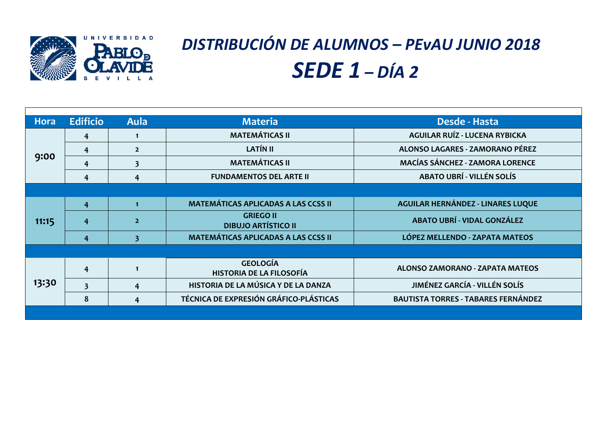**4 1 MATEMÁTICAS II AGUILAR RUÍZ - LUCENA RYBICKA**

**4 2 LATÍN II ALONSO LAGARES - ZAMORANO PÉREZ**

 $\mathbf{Z}$  **- ZAMORA LORENCE** 

 $\overline{1}$  **NDEZ - LINARES LUQUE** 

| <b>Hora</b> | <b>Edificio</b>         | <b>Aula</b>             | <b>Materia</b>                                     | Desde - Hasta                          |
|-------------|-------------------------|-------------------------|----------------------------------------------------|----------------------------------------|
| 9:00        | 4                       |                         | <b>MATEMÁTICAS II</b>                              | <b>AGUILAR RUÍZ - LUCENA RYBICKA</b>   |
|             | 4                       | $\overline{2}$          | <b>LATÍN II</b>                                    | <b>ALONSO LAGARES - ZAMORANO PÉ</b>    |
|             | $\overline{4}$          | 3 <sup>1</sup>          | <b>MATEMÁTICAS II</b>                              | <b>MACÍAS SÁNCHEZ - ZAMORA LOREI</b>   |
|             | $\overline{4}$          | $\overline{4}$          | <b>FUNDAMENTOS DEL ARTE II</b>                     | <b>ABATO UBRÍ - VILLÉN SOLÍS</b>       |
|             |                         |                         |                                                    |                                        |
| 11:15       | $\overline{4}$          | $\blacktriangleleft$    | <b>MATEMÁTICAS APLICADAS A LAS CCSS II</b>         | <b>AGUILAR HERNÁNDEZ - LINARES LU</b>  |
|             | $\overline{4}$          | 2 <sup>1</sup>          | <b>GRIEGO II</b><br><b>DIBUJO ARTÍSTICO II</b>     | <b>ABATO UBRÍ - VIDAL GONZÁLEZ</b>     |
|             | $\overline{4}$          | $\overline{\mathbf{3}}$ | <b>MATEMÁTICAS APLICADAS A LAS CCSS II</b>         | LÓPEZ MELLENDO - ZAPATA MATE           |
|             |                         |                         |                                                    |                                        |
| 13:30       | $\overline{4}$          |                         | <b>GEOLOGÍA</b><br><b>HISTORIA DE LA FILOSOFÍA</b> | <b>ALONSO ZAMORANO - ZAPATA MAT</b>    |
|             | $\overline{\mathbf{3}}$ | $\overline{4}$          | HISTORIA DE LA MÚSICA Y DE LA DANZA                | <b>JIMÉNEZ GARCÍA - VILLÉN SOLÍS</b>   |
|             | 8                       | $\overline{4}$          | TÉCNICA DE EXPRESIÓN GRÁFICO-PLÁSTICAS             | <b>BAUTISTA TORRES - TABARES FERNÁ</b> |
|             |                         |                         |                                                    |                                        |

**4 3 MATEMÁTICAS APLICADAS A LAS CCSS II LÓPEZ MELLENDO - ZAPATA MATEOS**

**HISTORIA DE LA FILOSOFÍA ALONSO ZAMORANO - ZAPATA MATEOS**

**8 4 TÉCNICA DE EXPRESIÓN GRÁFICO-PLÁSTICAS BAUTISTA TORRES - TABARES FERNÁNDEZ**